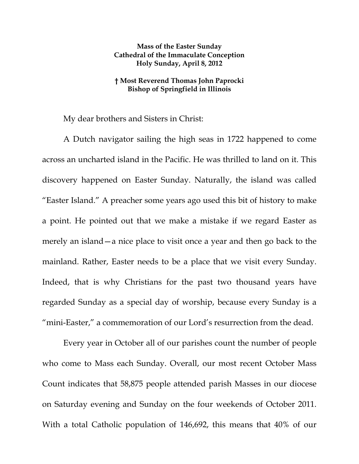## **Mass of the Easter Sunday Cathedral of the Immaculate Conception Holy Sunday, April 8, 2012**

## **† Most Reverend Thomas John Paprocki Bishop of Springfield in Illinois**

My dear brothers and Sisters in Christ:

A Dutch navigator sailing the high seas in 1722 happened to come across an uncharted island in the Pacific. He was thrilled to land on it. This discovery happened on Easter Sunday. Naturally, the island was called "Easter Island." A preacher some years ago used this bit of history to make a point. He pointed out that we make a mistake if we regard Easter as merely an island—a nice place to visit once a year and then go back to the mainland. Rather, Easter needs to be a place that we visit every Sunday. Indeed, that is why Christians for the past two thousand years have regarded Sunday as a special day of worship, because every Sunday is a "mini-Easter," a commemoration of our Lord's resurrection from the dead.

Every year in October all of our parishes count the number of people who come to Mass each Sunday. Overall, our most recent October Mass Count indicates that 58,875 people attended parish Masses in our diocese on Saturday evening and Sunday on the four weekends of October 2011. With a total Catholic population of 146,692, this means that 40% of our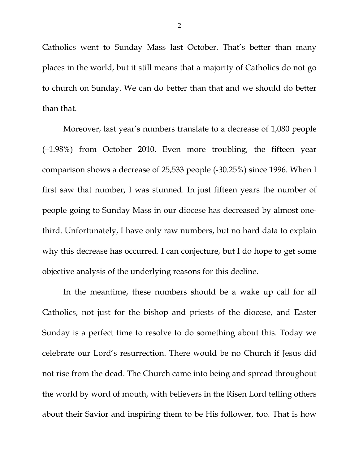Catholics went to Sunday Mass last October. That's better than many places in the world, but it still means that a majority of Catholics do not go to church on Sunday. We can do better than that and we should do better than that.

Moreover, last year's numbers translate to a decrease of 1,080 people (–1.98%) from October 2010. Even more troubling, the fifteen year comparison shows a decrease of 25,533 people (-30.25%) since 1996. When I first saw that number, I was stunned. In just fifteen years the number of people going to Sunday Mass in our diocese has decreased by almost onethird. Unfortunately, I have only raw numbers, but no hard data to explain why this decrease has occurred. I can conjecture, but I do hope to get some objective analysis of the underlying reasons for this decline.

In the meantime, these numbers should be a wake up call for all Catholics, not just for the bishop and priests of the diocese, and Easter Sunday is a perfect time to resolve to do something about this. Today we celebrate our Lord's resurrection. There would be no Church if Jesus did not rise from the dead. The Church came into being and spread throughout the world by word of mouth, with believers in the Risen Lord telling others about their Savior and inspiring them to be His follower, too. That is how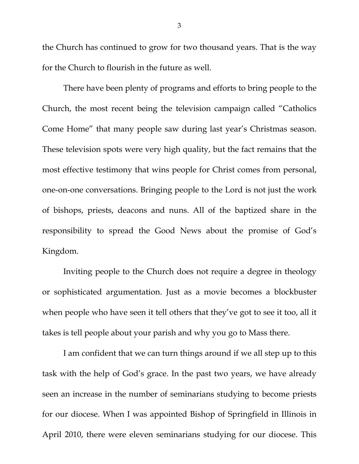the Church has continued to grow for two thousand years. That is the way for the Church to flourish in the future as well.

 There have been plenty of programs and efforts to bring people to the Church, the most recent being the television campaign called "Catholics Come Home" that many people saw during last year's Christmas season. These television spots were very high quality, but the fact remains that the most effective testimony that wins people for Christ comes from personal, one-on-one conversations. Bringing people to the Lord is not just the work of bishops, priests, deacons and nuns. All of the baptized share in the responsibility to spread the Good News about the promise of God's Kingdom.

 Inviting people to the Church does not require a degree in theology or sophisticated argumentation. Just as a movie becomes a blockbuster when people who have seen it tell others that they've got to see it too, all it takes is tell people about your parish and why you go to Mass there.

 I am confident that we can turn things around if we all step up to this task with the help of God's grace. In the past two years, we have already seen an increase in the number of seminarians studying to become priests for our diocese. When I was appointed Bishop of Springfield in Illinois in April 2010, there were eleven seminarians studying for our diocese. This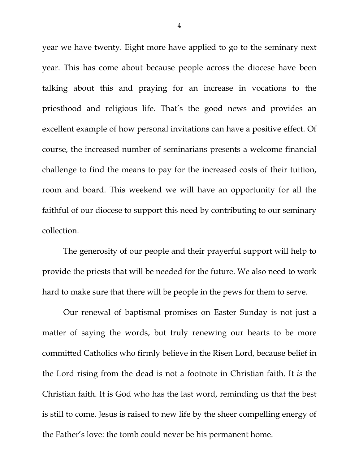year we have twenty. Eight more have applied to go to the seminary next year. This has come about because people across the diocese have been talking about this and praying for an increase in vocations to the priesthood and religious life. That's the good news and provides an excellent example of how personal invitations can have a positive effect. Of course, the increased number of seminarians presents a welcome financial challenge to find the means to pay for the increased costs of their tuition, room and board. This weekend we will have an opportunity for all the faithful of our diocese to support this need by contributing to our seminary collection.

 The generosity of our people and their prayerful support will help to provide the priests that will be needed for the future. We also need to work hard to make sure that there will be people in the pews for them to serve.

Our renewal of baptismal promises on Easter Sunday is not just a matter of saying the words, but truly renewing our hearts to be more committed Catholics who firmly believe in the Risen Lord, because belief in the Lord rising from the dead is not a footnote in Christian faith. It *is* the Christian faith. It is God who has the last word, reminding us that the best is still to come. Jesus is raised to new life by the sheer compelling energy of the Father's love: the tomb could never be his permanent home.

4